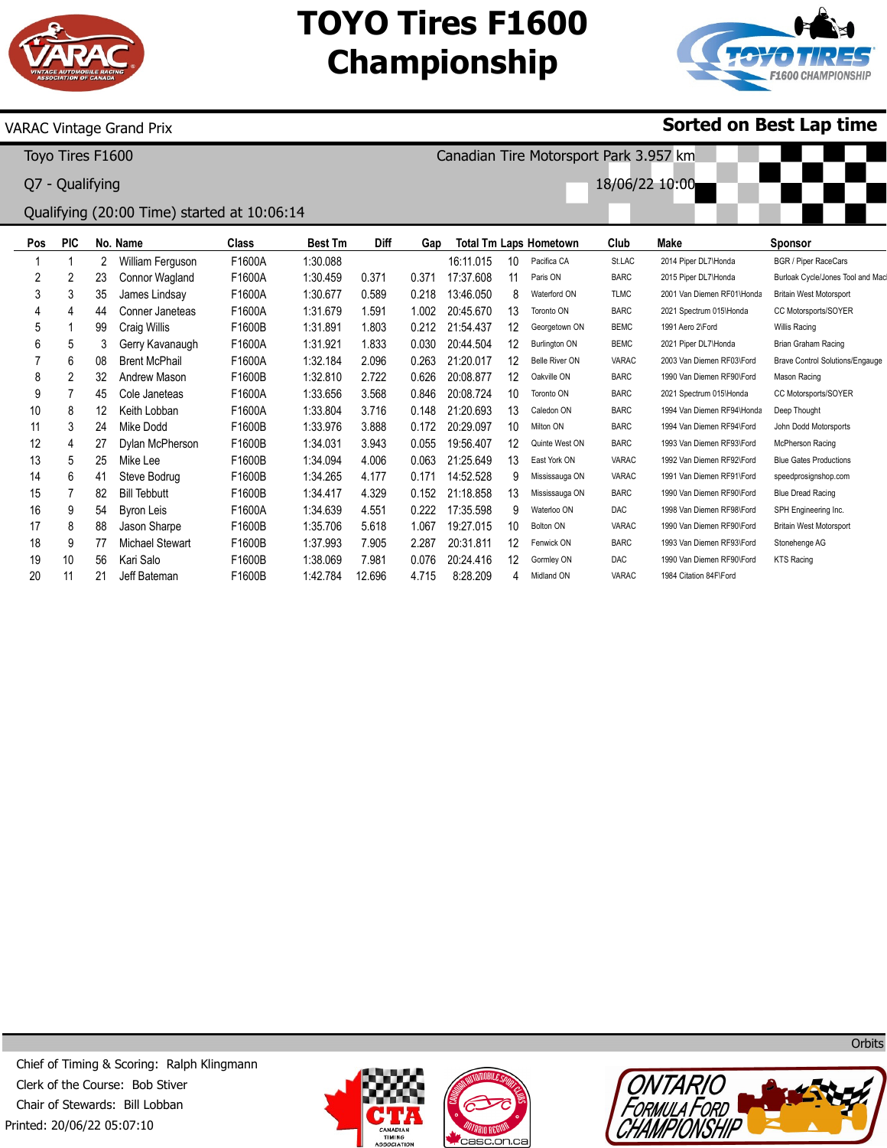

## **TOYO Tires F1600 Championship**

Canadian Tire Motorsport Park 3.957 km

18/06/22 10:00



**Sorted on Best Lap time**

### VARAC Vintage Grand Prix

Toyo Tires F1600

Q7 - Qualifying

## Qualifying (20:00 Time) started at 10:06:14

| Pos | <b>PIC</b> |    | No. Name               | Class  | <b>Best Tm</b> | Diff   | Gap   |           |    | <b>Total Tm Laps Hometown</b> | Club         | Make                       | <b>Sponsor</b>                         |
|-----|------------|----|------------------------|--------|----------------|--------|-------|-----------|----|-------------------------------|--------------|----------------------------|----------------------------------------|
|     |            | 2  | William Ferguson       | F1600A | 1:30.088       |        |       | 16:11.015 | 10 | Pacifica CA                   | St.LAC       | 2014 Piper DL7\Honda       | <b>BGR / Piper RaceCars</b>            |
| 2   | 2          | 23 | Connor Wagland         | F1600A | 1:30.459       | 0.371  | 0.371 | 17:37.608 | 11 | Paris ON                      | <b>BARC</b>  | 2015 Piper DL7\Honda       | Burloak Cycle/Jones Tool and Mac       |
| 3   | 3          | 35 | James Lindsay          | F1600A | 1:30.677       | 0.589  | 0.218 | 13:46.050 | 8  | Waterford ON                  | <b>TLMC</b>  | 2001 Van Diemen RF01\Honda | <b>Britain West Motorsport</b>         |
| 4   | 4          | 44 | Conner Janeteas        | F1600A | 1:31.679       | 1.591  | 1.002 | 20:45.670 | 13 | Toronto ON                    | <b>BARC</b>  | 2021 Spectrum 015\Honda    | CC Motorsports/SOYER                   |
| 5   |            | 99 | Craig Willis           | F1600B | 1:31.891       | 1.803  | 0.212 | 21:54.437 | 12 | Georgetown ON                 | <b>BEMC</b>  | 1991 Aero 2\Ford           | Willis Racing                          |
| 6   | 5          | 3  | Gerry Kavanaugh        | F1600A | 1:31.921       | 1.833  | 0.030 | 20:44.504 | 12 | <b>Burlington ON</b>          | <b>BEMC</b>  | 2021 Piper DL7\Honda       | Brian Graham Racing                    |
|     | 6          | 08 | <b>Brent McPhail</b>   | F1600A | 1:32.184       | 2.096  | 0.263 | 21:20.017 | 12 | Belle River ON                | VARAC        | 2003 Van Diemen RF03\Ford  | <b>Brave Control Solutions/Engauge</b> |
| 8   | 2          | 32 | Andrew Mason           | F1600B | 1:32.810       | 2.722  | 0.626 | 20:08.877 | 12 | Oakville ON                   | <b>BARC</b>  | 1990 Van Diemen RF90\Ford  | Mason Racing                           |
| 9   |            | 45 | Cole Janeteas          | F1600A | 1:33.656       | 3.568  | 0.846 | 20:08.724 | 10 | Toronto ON                    | <b>BARC</b>  | 2021 Spectrum 015\Honda    | CC Motorsports/SOYER                   |
| 10  | 8          | 12 | Keith Lobban           | F1600A | 1:33.804       | 3.716  | 0.148 | 21:20.693 | 13 | Caledon ON                    | <b>BARC</b>  | 1994 Van Diemen RF94\Honda | Deep Thought                           |
| 11  | 3          | 24 | Mike Dodd              | F1600B | 1:33.976       | 3.888  | 0.172 | 20:29.097 | 10 | Milton ON                     | <b>BARC</b>  | 1994 Van Diemen RF94\Ford  | John Dodd Motorsports                  |
| 12  | 4          | 27 | Dylan McPherson        | F1600B | 1:34.031       | 3.943  | 0.055 | 19:56.407 | 12 | Quinte West ON                | <b>BARC</b>  | 1993 Van Diemen RF93\Ford  | McPherson Racing                       |
| 13  | 5          | 25 | Mike Lee               | F1600B | 1:34.094       | 4.006  | 0.063 | 21:25.649 | 13 | East York ON                  | VARAC        | 1992 Van Diemen RF92\Ford  | <b>Blue Gates Productions</b>          |
| 14  | 6          | 41 | Steve Bodrug           | F1600B | 1:34.265       | 4.177  | 0.171 | 14:52.528 | 9  | Mississauga ON                | VARAC        | 1991 Van Diemen RF91\Ford  | speedprosignshop.com                   |
| 15  |            | 82 | <b>Bill Tebbutt</b>    | F1600B | 1:34.417       | 4.329  | 0.152 | 21:18.858 | 13 | Mississauga ON                | <b>BARC</b>  | 1990 Van Diemen RF90\Ford  | <b>Blue Dread Racing</b>               |
| 16  | 9          | 54 | <b>Byron Leis</b>      | F1600A | 1:34.639       | 4.551  | 0.222 | 17:35.598 | 9  | Waterloo ON                   | <b>DAC</b>   | 1998 Van Diemen RF98\Ford  | SPH Engineering Inc.                   |
| 17  | 8          | 88 | Jason Sharpe           | F1600B | 1:35.706       | 5.618  | 1.067 | 19:27.015 | 10 | <b>Bolton ON</b>              | <b>VARAC</b> | 1990 Van Diemen RF90\Ford  | <b>Britain West Motorsport</b>         |
| 18  | 9          | 77 | <b>Michael Stewart</b> | F1600B | 1:37.993       | 7.905  | 2.287 | 20:31.811 | 12 | Fenwick ON                    | <b>BARC</b>  | 1993 Van Diemen RF93\Ford  | Stonehenge AG                          |
| 19  | 10         | 56 | Kari Salo              | F1600B | 1:38.069       | 7.981  | 0.076 | 20:24.416 | 12 | Gormley ON                    | <b>DAC</b>   | 1990 Van Diemen RF90\Ford  | <b>KTS Racing</b>                      |
| 20  | 11         | 21 | Jeff Bateman           | F1600B | 1:42.784       | 12.696 | 4.715 | 8:28.209  |    | Midland ON                    | VARAC        | 1984 Citation 84F\Ford     |                                        |







**Orbits**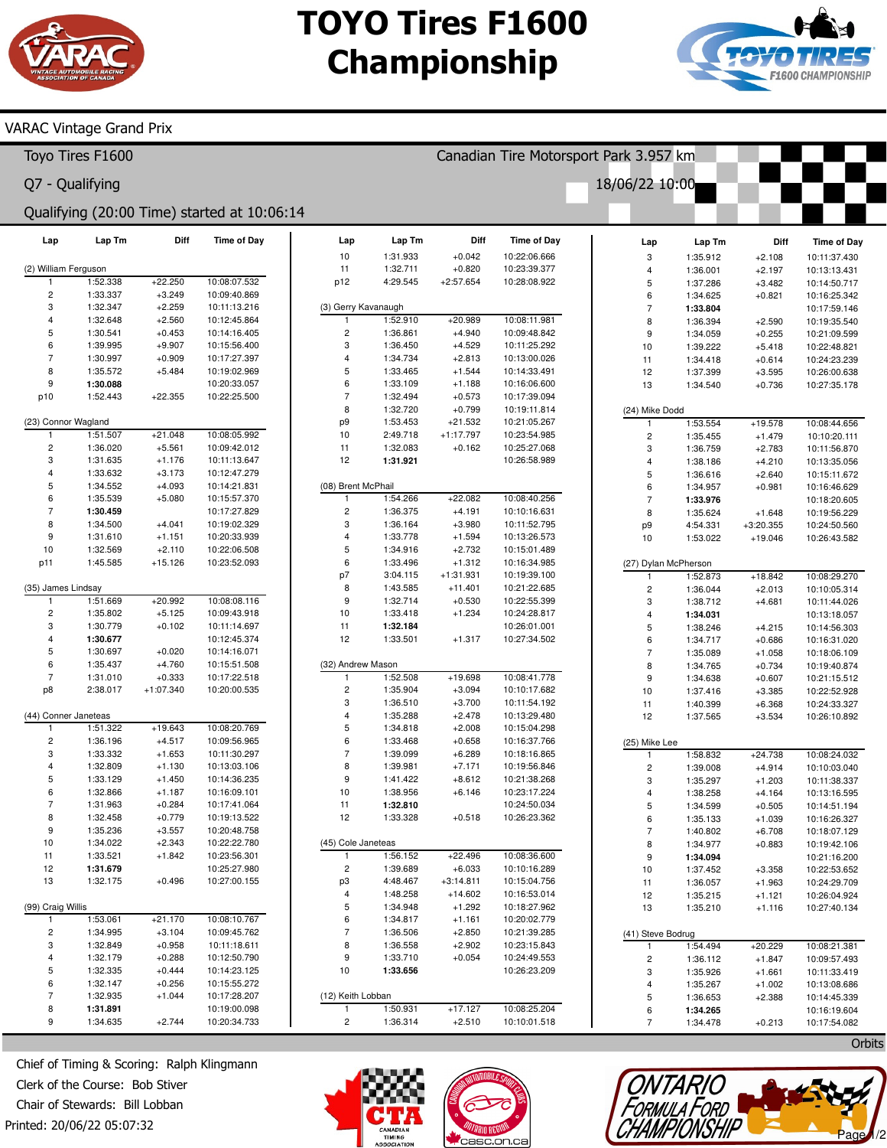# **TOYO Tires F1600 Championship**



### VARAC Vintage Grand Prix

| Toyo Tires F1600                            |                         |                      |                      |                              |                              |                      |                      | Canadian Tire Motorsport Park 3.957 km |                              |                      |                         |                              |  |  |
|---------------------------------------------|-------------------------|----------------------|----------------------|------------------------------|------------------------------|----------------------|----------------------|----------------------------------------|------------------------------|----------------------|-------------------------|------------------------------|--|--|
|                                             | Q7 - Qualifying         |                      |                      |                              |                              |                      |                      |                                        | 18/06/22 10:00               |                      |                         |                              |  |  |
| Qualifying (20:00 Time) started at 10:06:14 |                         |                      |                      |                              |                              |                      |                      |                                        |                              |                      |                         |                              |  |  |
|                                             | Lap                     | Lap Tm               | <b>Diff</b>          | <b>Time of Day</b>           | Lap<br>10                    | Lap Tm<br>1:31.933   | Diff<br>$+0.042$     | <b>Time of Day</b><br>10:22:06.666     | Lap                          | Lap Tm               | Diff                    | <b>Time of Day</b>           |  |  |
|                                             | (2) William Ferguson    |                      |                      |                              | 11                           | 1:32.711             | $+0.820$             | 10:23:39.377                           | 3<br>$\overline{\mathbf{4}}$ | 1:35.912<br>1:36.001 | $+2.108$<br>$+2.197$    | 10:11:37.430<br>10:13:13.431 |  |  |
|                                             | $\mathbf{1}$            | 1:52.338             | $+22.250$            | 10:08:07.532                 | p12                          | 4:29.545             | $+2:57.654$          | 10:28:08.922                           | 5                            | 1:37.286             | $+3.482$                | 10:14:50.717                 |  |  |
|                                             | $\overline{\mathbf{c}}$ | 1:33.337             | $+3.249$             | 10:09:40.869                 |                              |                      |                      |                                        | 6                            | 1:34.625             | $+0.821$                | 10:16:25.342                 |  |  |
|                                             | 3                       | 1:32.347             | $+2.259$             | 10:11:13.216                 |                              | (3) Gerry Kavanaugh  |                      |                                        | $\overline{7}$               | 1:33.804             |                         | 10:17:59.146                 |  |  |
|                                             | $\overline{4}$          | 1:32.648             | $+2.560$             | 10:12:45.864                 |                              | 1:52.910             | $+20.989$            | 10:08:11.981                           | 8                            | 1:36.394             | $+2.590$                | 10:19:35.540                 |  |  |
|                                             | 5                       | 1:30.541             | $+0.453$             | 10:14:16.405                 | $\overline{c}$               | 1:36.861             | $+4.940$             | 10:09:48.842                           | 9                            | 1:34.059             | $+0.255$                | 10:21:09.599                 |  |  |
|                                             | 6<br>$\overline{7}$     | 1:39.995             | $+9.907$             | 10:15:56.400                 | 3                            | 1:36.450             | $+4.529$             | 10:11:25.292                           | 10                           | 1:39.222             | $+5.418$                | 10:22:48.821                 |  |  |
|                                             | 8                       | 1:30.997<br>1:35.572 | $+0.909$<br>$+5.484$ | 10:17:27.397<br>10:19:02.969 | 4<br>5                       | 1:34.734<br>1:33.465 | $+2.813$<br>$+1.544$ | 10:13:00.026<br>10:14:33.491           | 11                           | 1:34.418             | $+0.614$                | 10:24:23.239                 |  |  |
|                                             | 9                       | 1:30.088             |                      | 10:20:33.057                 | 6                            | 1:33.109             | $+1.188$             | 10:16:06.600                           | 12<br>13                     | 1:37.399<br>1:34.540 | $+3.595$<br>$+0.736$    | 10:26:00.638<br>10:27:35.178 |  |  |
|                                             | p10                     | 1:52.443             | $+22.355$            | 10:22:25.500                 | $\overline{7}$               | 1:32.494             | $+0.573$             | 10:17:39.094                           |                              |                      |                         |                              |  |  |
|                                             |                         |                      |                      |                              | 8                            | 1:32.720             | $+0.799$             | 10:19:11.814                           | (24) Mike Dodd               |                      |                         |                              |  |  |
|                                             | (23) Connor Wagland     |                      |                      |                              | p9                           | 1:53.453             | $+21.532$            | 10:21:05.267                           | $\mathbf{1}$                 | 1:53.554             | $+19.578$               | 10:08:44.656                 |  |  |
|                                             | -1                      | 1:51.507             | $+21.048$            | 10:08:05.992                 | 10                           | 2:49.718             | $+1:17.797$          | 10:23:54.985                           | $\overline{\mathbf{c}}$      | 1:35.455             | $+1.479$                | 10:10:20.111                 |  |  |
|                                             | $\overline{\mathbf{c}}$ | 1:36.020             | $+5.561$             | 10:09:42.012                 | 11                           | 1:32.083             | $+0.162$             | 10:25:27.068                           | 3                            | 1:36.759             | $+2.783$                | 10:11:56.870                 |  |  |
|                                             | 3                       | 1:31.635             | $+1.176$             | 10:11:13.647                 | 12                           | 1:31.921             |                      | 10:26:58.989                           | $\overline{\mathbf{4}}$      | 1:38.186             | $+4.210$                | 10:13:35.056                 |  |  |
|                                             | $\overline{4}$          | 1:33.632             | $+3.173$             | 10:12:47.279                 |                              |                      |                      |                                        | 5                            | 1:36.616             | $+2.640$                | 10:15:11.672                 |  |  |
|                                             | 5                       | 1:34.552             | $+4.093$             | 10:14:21.831                 | (08) Brent McPhail           |                      |                      |                                        | 6                            | 1:34.957             | $+0.981$                | 10:16:46.629                 |  |  |
|                                             | 6<br>$\overline{7}$     | 1:35.539             | $+5.080$             | 10:15:57.370                 | 1<br>$\overline{\mathbf{c}}$ | 1:54.266<br>1:36.375 | $+22.082$            | 10:08:40.256                           | $\overline{7}$               | 1:33.976             |                         | 10:18:20.605                 |  |  |
|                                             | 8                       | 1:30.459<br>1:34.500 | $+4.041$             | 10:17:27.829<br>10:19:02.329 | 3                            | 1:36.164             | $+4.191$<br>$+3.980$ | 10:10:16.631<br>10:11:52.795           | 8                            | 1:35.624             | $+1.648$<br>$+3:20.355$ | 10:19:56.229                 |  |  |
|                                             | 9                       | 1:31.610             | $+1.151$             | 10:20:33.939                 | 4                            | 1:33.778             | $+1.594$             | 10:13:26.573                           | p <sub>9</sub><br>10         | 4:54.331<br>1:53.022 | $+19.046$               | 10:24:50.560<br>10:26:43.582 |  |  |
|                                             | 10                      | 1:32.569             | $+2.110$             | 10:22:06.508                 | 5                            | 1:34.916             | $+2.732$             | 10:15:01.489                           |                              |                      |                         |                              |  |  |
|                                             | p11                     | 1:45.585             | $+15.126$            | 10:23:52.093                 | 6                            | 1:33.496             | $+1.312$             | 10:16:34.985                           | (27) Dylan McPherson         |                      |                         |                              |  |  |
|                                             |                         |                      |                      |                              | p7                           | 3:04.115             | $+1:31.931$          | 10:19:39.100                           |                              | 1:52.873             | $+18.842$               | 10:08:29.270                 |  |  |
|                                             | (35) James Lindsay      |                      |                      |                              | 8                            | 1:43.585             | $+11.401$            | 10:21:22.685                           | $\overline{c}$               | 1:36.044             | $+2.013$                | 10:10:05.314                 |  |  |
|                                             | -1                      | 1:51.669             | $+20.992$            | 10:08:08.116                 | 9                            | 1:32.714             | $+0.530$             | 10:22:55.399                           | 3                            | 1:38.712             | $+4.681$                | 10:11:44.026                 |  |  |
|                                             | $\overline{\mathbf{c}}$ | 1:35.802             | $+5.125$             | 10:09:43.918                 | 10                           | 1:33.418             | $+1.234$             | 10:24:28.817                           | $\overline{4}$               | 1:34.031             |                         | 10:13:18.057                 |  |  |
|                                             | 3                       | 1:30.779             | $+0.102$             | 10:11:14.697                 | 11                           | 1:32.184             |                      | 10:26:01.001                           | 5                            | 1:38.246             | $+4.215$                | 10:14:56.303                 |  |  |
|                                             | $\overline{4}$          | 1:30.677             |                      | 10:12:45.374                 | 12                           | 1:33.501             | $+1.317$             | 10:27:34.502                           | 6                            | 1:34.717             | $+0.686$                | 10:16:31.020                 |  |  |
|                                             | 5                       | 1:30.697             | $+0.020$             | 10:14:16.071                 |                              |                      |                      |                                        | $\overline{7}$               | 1:35.089             | $+1.058$                | 10:18:06.109                 |  |  |
|                                             | 6<br>$\overline{7}$     | 1:35.437<br>1:31.010 | $+4.760$<br>$+0.333$ | 10:15:51.508<br>10:17:22.518 | (32) Andrew Mason<br>1       | 1:52.508             | $+19.698$            | 10:08:41.778                           | 8                            | 1:34.765             | $+0.734$                | 10:19:40.874                 |  |  |
|                                             | p8                      | 2:38.017             | $+1:07.340$          | 10:20:00.535                 | $\overline{\mathbf{c}}$      | 1:35.904             | $+3.094$             | 10:10:17.682                           | 9<br>10                      | 1:34.638<br>1:37.416 | $+0.607$<br>$+3.385$    | 10:21:15.512<br>10:22:52.928 |  |  |
|                                             |                         |                      |                      |                              | 3                            | 1:36.510             | $+3.700$             | 10:11:54.192                           | 11                           | 1:40.399             | $+6.368$                | 10:24:33.327                 |  |  |
|                                             | (44) Conner Janeteas    |                      |                      |                              | 4                            | 1:35.288             | $+2.478$             | 10:13:29.480                           | 12                           | 1:37.565             | $+3.534$                | 10:26:10.892                 |  |  |
|                                             | $\overline{1}$          | 1:51.322             | $+19.643$            | 10:08:20.769                 | 5                            | 1:34.818             | $+2.008$             | 10:15:04.298                           |                              |                      |                         |                              |  |  |
|                                             | $\overline{\mathbf{c}}$ | 1:36.196             | $+4.517$             | 10:09:56.965                 | 6                            | 1:33.468             | $+0.658$             | 10:16:37.766                           | (25) Mike Lee                |                      |                         |                              |  |  |
|                                             | 3                       | 1:33.332             | $+1.653$             | 10:11:30.297                 | $\overline{7}$               | 1:39.099             | $+6.289$             | 10:18:16.865                           | $\mathbf{1}$                 | 1:58.832             | $+24.738$               | 10:08:24.032                 |  |  |
|                                             | $\overline{4}$          | 1:32.809             | $+1.130$             | 10:13:03.106                 | 8                            | 1:39.981             | $+7.171$             | 10:19:56.846                           | $\overline{\mathbf{c}}$      | 1:39.008             | $+4.914$                | 10:10:03.040                 |  |  |
|                                             | 5                       | 1:33.129             | $+1.450$             | 10:14:36.235                 | 9                            | 1:41.422             | $+8.612$             | 10:21:38.268                           | 3                            | 1:35.297             | $+1.203$                | 10:11:38.337                 |  |  |
|                                             | 6                       | 1:32.866             | $+1.187$             | 10:16:09.101                 | 10                           | 1:38.956             | $+6.146$             | 10:23:17.224                           | $\overline{4}$               | 1:38.258             | $+4.164$                | 10:13:16.595                 |  |  |
|                                             | $\overline{7}$<br>8     | 1:31.963<br>1:32.458 | $+0.284$<br>$+0.779$ | 10:17:41.064<br>10:19:13.522 | 11<br>12                     | 1:32.810<br>1:33.328 | $+0.518$             | 10:24:50.034<br>10:26:23.362           | 5<br>6                       | 1:34.599             | $+0.505$                | 10:14:51.194                 |  |  |
|                                             | 9                       | 1:35.236             | $+3.557$             | 10:20:48.758                 |                              |                      |                      |                                        | $\overline{7}$               | 1:35.133<br>1:40.802 | $+1.039$<br>$+6.708$    | 10:16:26.327<br>10:18:07.129 |  |  |
|                                             | 10                      | 1:34.022             | $+2.343$             | 10:22:22.780                 | (45) Cole Janeteas           |                      |                      |                                        | 8                            | 1:34.977             | $+0.883$                | 10:19:42.106                 |  |  |
|                                             | 11                      | 1:33.521             | $+1.842$             | 10:23:56.301                 | $\mathbf{1}$                 | 1:56.152             | $+22.496$            | 10:08:36.600                           | 9                            | 1:34.094             |                         | 10:21:16.200                 |  |  |
|                                             | 12                      | 1:31.679             |                      | 10:25:27.980                 | $\overline{c}$               | 1:39.689             | $+6.033$             | 10:10:16.289                           | 10                           | 1:37.452             | $+3.358$                | 10:22:53.652                 |  |  |
|                                             | 13                      | 1:32.175             | $+0.496$             | 10:27:00.155                 | p3                           | 4:48.467             | $+3:14.811$          | 10:15:04.756                           | 11                           | 1:36.057             | $+1.963$                | 10:24:29.709                 |  |  |
|                                             |                         |                      |                      |                              | 4                            | 1:48.258             | $+14.602$            | 10:16:53.014                           | 12                           | 1:35.215             | $+1.121$                | 10:26:04.924                 |  |  |
|                                             | (99) Craig Willis       |                      |                      |                              | 5                            | 1:34.948             | $+1.292$             | 10:18:27.962                           | 13                           | 1:35.210             | $+1.116$                | 10:27:40.134                 |  |  |
|                                             | $\mathbf{1}$            | 1:53.061             | $+21.170$            | 10:08:10.767                 | 6                            | 1:34.817             | $+1.161$             | 10:20:02.779                           |                              |                      |                         |                              |  |  |
|                                             | $\overline{\mathbf{c}}$ | 1:34.995             | $+3.104$             | 10:09:45.762                 | $\overline{7}$               | 1:36.506             | $+2.850$             | 10:21:39.285                           | (41) Steve Bodrug            |                      |                         |                              |  |  |
|                                             | 3                       | 1:32.849             | $+0.958$             | 10:11:18.611                 | 8                            | 1:36.558             | $+2.902$             | 10:23:15.843                           | 1                            | 1:54.494             | $+20.229$               | 10:08:21.381                 |  |  |
|                                             | $\overline{4}$<br>5     | 1:32.179<br>1:32.335 | $+0.288$<br>$+0.444$ | 10:12:50.790                 | 9<br>10                      | 1:33.710             | $+0.054$             | 10:24:49.553                           | $\overline{\mathbf{c}}$      | 1:36.112             | $+1.847$                | 10:09:57.493                 |  |  |
|                                             | 6                       | 1:32.147             | $+0.256$             | 10:14:23.125<br>10:15:55.272 |                              | 1:33.656             |                      | 10:26:23.209                           | 3<br>$\overline{\mathbf{4}}$ | 1:35.926             | $+1.661$                | 10:11:33.419                 |  |  |
|                                             | $\overline{7}$          | 1:32.935             | $+1.044$             | 10:17:28.207                 | (12) Keith Lobban            |                      |                      |                                        | 5                            | 1:35.267<br>1:36.653 | $+1.002$<br>$+2.388$    | 10:13:08.686<br>10:14:45.339 |  |  |
|                                             | 8                       | 1:31.891             |                      | 10:19:00.098                 | 1                            | 1:50.931             | $+17.127$            | 10:08:25.204                           | 6                            | 1:34.265             |                         | 10:16:19.604                 |  |  |
|                                             | 9                       | 1:34.635             | $+2.744$             | 10:20:34.733                 | $\overline{c}$               | 1:36.314             | $+2.510$             | 10:10:01.518                           | $\overline{7}$               | 1:34.478             | $+0.213$                | 10:17:54.082                 |  |  |
|                                             |                         |                      |                      |                              |                              |                      |                      |                                        |                              |                      |                         |                              |  |  |

Printed: 20/06/22 05:07:32 Chief of Timing & Scoring: Ralph Klingmann Clerk of the Course: Bob Stiver Chair of Stewards: Bill Lobban







**Orbits**